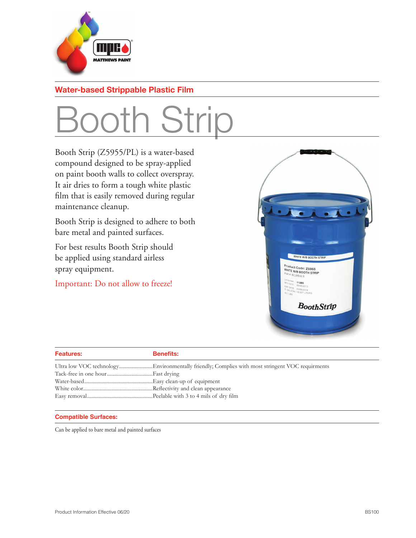

## **Water-based Strippable Plastic Film**

## Booth Strip

Booth Strip (Z5955/PL) is a water-based compound designed to be spray-applied on paint booth walls to collect overspray. It air dries to form a tough white plastic film that is easily removed during regular maintenance cleanup.

Booth Strip is designed to adhere to both bare metal and painted surfaces.

For best results Booth Strip should be applied using standard airless spray equipment.

Important: Do not allow to freeze!



| <b>Features:</b> | <b>Benefits:</b> |
|------------------|------------------|
|                  |                  |
|                  |                  |
|                  |                  |
|                  |                  |
|                  |                  |

### **Compatible Surfaces:**

Can be applied to bare metal and painted surfaces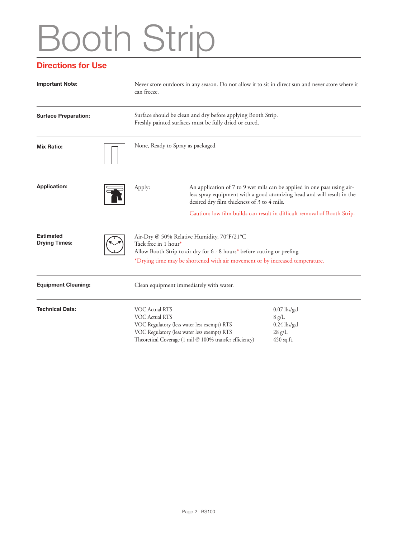# Booth Strip

### **Directions for Use**

| <b>Important Note:</b>                   |  | Never store outdoors in any season. Do not allow it to sit in direct sun and never store where it<br>can freeze.                                                                                                              |                                                                                                                                                                                                 |                                                                          |  |  |
|------------------------------------------|--|-------------------------------------------------------------------------------------------------------------------------------------------------------------------------------------------------------------------------------|-------------------------------------------------------------------------------------------------------------------------------------------------------------------------------------------------|--------------------------------------------------------------------------|--|--|
| <b>Surface Preparation:</b>              |  | Surface should be clean and dry before applying Booth Strip.<br>Freshly painted surfaces must be fully dried or cured.                                                                                                        |                                                                                                                                                                                                 |                                                                          |  |  |
| <b>Mix Ratio:</b>                        |  | None, Ready to Spray as packaged                                                                                                                                                                                              |                                                                                                                                                                                                 |                                                                          |  |  |
| <b>Application:</b>                      |  | Apply:                                                                                                                                                                                                                        | An application of 7 to 9 wet mils can be applied in one pass using air-<br>less spray equipment with a good atomizing head and will result in the<br>desired dry film thickness of 3 to 4 mils. |                                                                          |  |  |
|                                          |  |                                                                                                                                                                                                                               |                                                                                                                                                                                                 | Caution: low film builds can result in difficult removal of Booth Strip. |  |  |
| <b>Estimated</b><br><b>Drying Times:</b> |  | Air-Dry @ 50% Relative Humidity, 70°F/21°C<br>Tack free in 1 hour*<br>Allow Booth Strip to air dry for 6 - 8 hours* before cutting or peeling<br>*Drying time may be shortened with air movement or by increased temperature. |                                                                                                                                                                                                 |                                                                          |  |  |
| <b>Equipment Cleaning:</b>               |  | Clean equipment immediately with water.                                                                                                                                                                                       |                                                                                                                                                                                                 |                                                                          |  |  |
| <b>Technical Data:</b>                   |  | VOC Actual RTS<br>VOC Actual RTS<br>VOC Regulatory (less water less exempt) RTS<br>VOC Regulatory (less water less exempt) RTS                                                                                                | Theoretical Coverage (1 mil @ 100% transfer efficiency)                                                                                                                                         | $0.07$ lbs/gal<br>8 g/L<br>$0.24$ lbs/gal<br>$28$ g/L<br>450 sq.ft.      |  |  |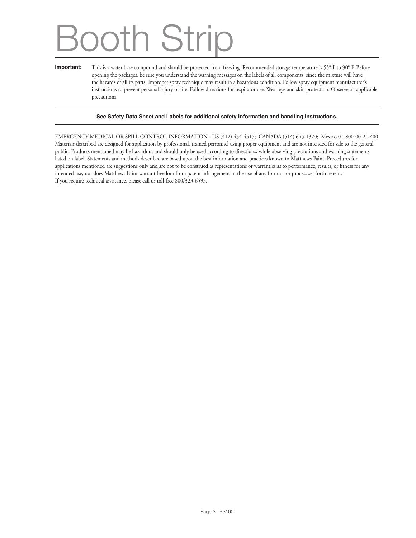## Booth Strip

#### **Important:** This is a water base compound and should be protected from freezing. Recommended storage temperature is 55° F to 90° F. Before opening the packages, be sure you understand the warning messages on the labels of all components, since the mixture will have the hazards of all its parts. Improper spray technique may result in a hazardous condition. Follow spray equipment manufacturer's instructions to prevent personal injury or fire. Follow directions for respirator use. Wear eye and skin protection. Observe all applicable precautions.

#### **See Safety Data Sheet and Labels for additional safety information and handling instructions.**

EMERGENCY MEDICAL OR SPILL CONTROL INFORMATION - US (412) 434-4515; CANADA (514) 645-1320; Mexico 01-800-00-21-400 Materials described are designed for application by professional, trained personnel using proper equipment and are not intended for sale to the general public. Products mentioned may be hazardous and should only be used according to directions, while observing precautions and warning statements listed on label. Statements and methods described are based upon the best information and practices known to Matthews Paint. Procedures for applications mentioned are suggestions only and are not to be construed as representations or warranties as to performance, results, or fitness for any intended use, nor does Matthews Paint warrant freedom from patent infringement in the use of any formula or process set forth herein. If you require technical assistance, please call us toll-free 800/323-6593.